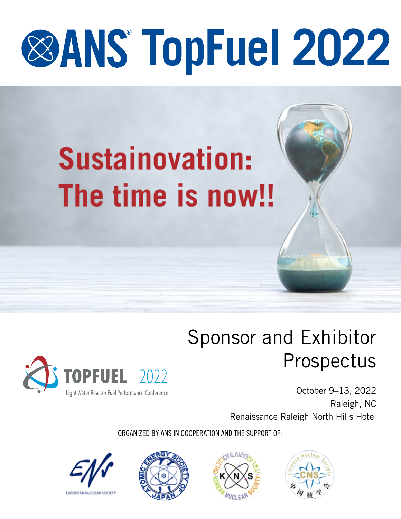# **Sustainovation:** The time is now!!

### Sponsor and Exhibitor Prospectus

October 9–13, 2022 Raleigh, NC Renaissance Raleigh North Hills Hotel

ORGANIZED BY ANS IN COOPERATION AND THE SUPPORT OF:



**TOPFUEL 2022** 





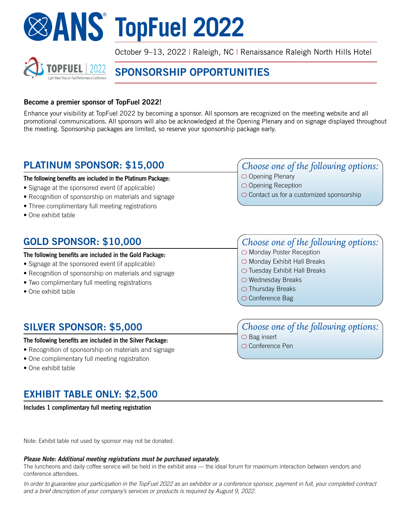

October 9-13, 2022 | Raleigh, NC | Renaissance Raleigh North Hills Hotel

SPONSORSHIP OPPORTUNITIES

#### Become a premier sponsor of TopFuel 2022!

Enhance your visibility at TopFuel 2022 by becoming a sponsor. All sponsors are recognized on the meeting website and all promotional communications. All sponsors will also be acknowledged at the Opening Plenary and on signage displayed throughout the meeting. Sponsorship packages are limited, so reserve your sponsorship package early.

#### PLATINUM SPONSOR: \$15,000

#### The following benefits are included in the Platinum Package:

- Signage at the sponsored event (if applicable)
- Recognition of sponsorship on materials and signage
- Three complimentary full meeting registrations
- One exhibit table

#### GOLD SPONSOR: \$10,000

#### The following benefits are included in the Gold Package:

- Signage at the sponsored event (if applicable)
- Recognition of sponsorship on materials and signage
- Two complimentary full meeting registrations
- One exhibit table

#### SILVER SPONSOR: \$5,000

#### The following benefits are included in the Silver Package:

- Recognition of sponsorship on materials and signage
- One complimentary full meeting registration
- One exhibit table

#### EXHIBIT TABLE ONLY: \$2,500

Includes 1 complimentary full meeting registration

Note: Exhibit table not used by sponsor may not be donated.

#### *Please Note: Additional meeting registrations must be purchased separately.*

The luncheons and daily coffee service will be held in the exhibit area — the ideal forum for maximum interaction between vendors and conference attendees.

*In order to guarantee your participation in the TopFuel 2022 as an exhibitor or a conference sponsor, payment in full, your completed contract and a brief description of your company's services or products is required by August 9, 2022.*

#### *Choose one of the following options:*

- O Opening Plenary
- $\bigcirc$  Opening Reception
- $\bigcirc$  Contact us for a customized sponsorship

#### *Choose one of the following options:*

- ◯ Monday Poster Reception
- $\bigcirc$  Monday Exhibit Hall Breaks
- Tuesday Exhibit Hall Breaks
- Wednesday Breaks
- O Thursday Breaks
- Conference Bag

*Choose one of the following options:*  $\bigcirc$  Bag insert Conference Pen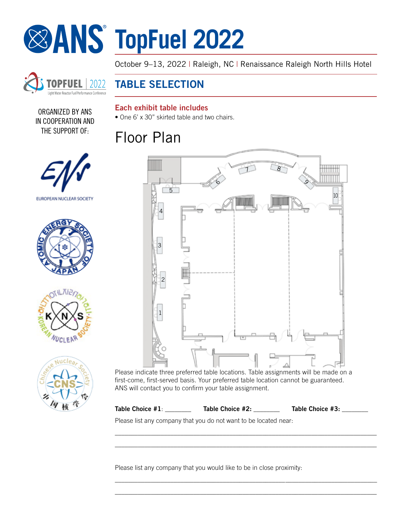

ORGANIZED BY ANS IN COOPERATION AND THE SUPPORT OF:

#### TABLE SELECTION

#### Each exhibit table includes

• One 6' x 30" skirted table and two chairs.

### Floor Plan



Please indicate three preferred table locations. Table assignments will be made on a first-come, first-served basis. Your preferred table location cannot be guaranteed. ANS will contact you to confirm your table assignment.

Table Choice #1: \_\_\_\_\_\_\_\_\_\_\_\_ Table Choice #2: \_\_\_\_\_\_\_\_\_\_\_ Table Choice #3: \_\_\_\_\_

\_\_\_\_\_\_\_\_\_\_\_\_\_\_\_\_\_\_\_\_\_\_\_\_\_\_\_\_\_\_\_\_\_\_\_\_\_\_\_\_\_\_\_\_\_\_\_\_\_\_\_\_\_\_\_\_\_\_\_\_\_\_\_\_\_\_\_\_\_\_\_\_\_\_\_\_\_\_\_\_ \_\_\_\_\_\_\_\_\_\_\_\_\_\_\_\_\_\_\_\_\_\_\_\_\_\_\_\_\_\_\_\_\_\_\_\_\_\_\_\_\_\_\_\_\_\_\_\_\_\_\_\_\_\_\_\_\_\_\_\_\_\_\_\_\_\_\_\_\_\_\_\_\_\_\_\_\_\_\_\_

\_\_\_\_\_\_\_\_\_\_\_\_\_\_\_\_\_\_\_\_\_\_\_\_\_\_\_\_\_\_\_\_\_\_\_\_\_\_\_\_\_\_\_\_\_\_\_\_\_\_\_\_\_\_\_\_\_\_\_\_\_\_\_\_\_\_\_\_\_\_\_\_\_\_\_\_\_\_\_\_ \_\_\_\_\_\_\_\_\_\_\_\_\_\_\_\_\_\_\_\_\_\_\_\_\_\_\_\_\_\_\_\_\_\_\_\_\_\_\_\_\_\_\_\_\_\_\_\_\_\_\_\_\_\_\_\_\_\_\_\_\_\_\_\_\_\_\_\_\_\_\_\_\_\_\_\_\_\_\_\_

Please list any company that you do not want to be located near:

Please list any company that you would like to be in close proximity:









October 9-13, 2022 | Raleigh, NC | Renaissance Raleigh North Hills Hotel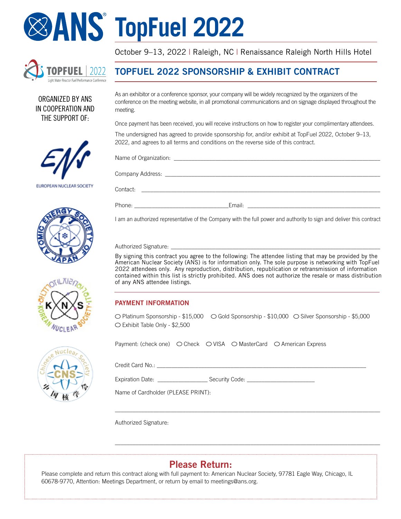

### **ANS** TopFuel 2022

October 9–13, 2022 | Raleigh, NC | Renaissance Raleigh North Hills Hotel

#### TOPFUEL 2022 SPONSORSHIP & EXHIBIT CONTRACT

ORGANIZED BY ANS IN COOPERATION AND THE SUPPORT OF:



**EUROPEAN NUCLEAR SOCIETY** 







Once payment has been received, you will receive instructions on how to register your complimentary attendees.

The undersigned has agreed to provide sponsorship for, and/or exhibit at TopFuel 2022, October 9–13, 2022, and agrees to all terms and conditions on the reverse side of this contract.

Name of Organization: \_\_\_\_\_\_\_\_\_\_\_\_\_\_\_\_\_\_\_\_\_\_\_\_\_\_\_\_\_\_\_\_\_\_\_\_\_\_\_\_\_\_\_\_\_\_\_\_\_\_\_\_\_\_\_\_\_\_\_\_\_\_\_\_\_\_\_\_\_\_ Company Address: \_\_\_\_\_\_\_\_\_\_\_\_\_\_\_\_\_\_\_\_\_\_\_\_\_\_\_\_\_\_\_\_\_\_\_\_\_\_\_\_\_\_\_\_\_\_\_\_\_\_\_\_\_\_\_\_\_\_\_\_\_\_\_\_\_\_\_\_\_\_\_\_\_  $\text{Context:}$ Phone: \_\_\_\_\_\_\_\_\_\_\_\_\_\_\_\_\_\_\_\_\_\_\_\_\_\_\_\_\_\_\_\_Email: \_\_\_\_\_\_\_\_\_\_\_\_\_\_\_\_\_\_\_\_\_\_\_\_\_\_\_\_\_\_\_\_\_\_\_\_\_\_\_\_\_\_\_\_\_

I am an authorized representative of the Company with the full power and authority to sign and deliver this contract

#### Authorized Signature:

By signing this contract you agree to the following: The attendee listing that may be provided by the American Nuclear Society (ANS) is for information only. The sole purpose is networking with TopFuel 2022 attendees only. Any reproduction, distribution, republication or retransmission of information contained within this list is strictly prohibited. ANS does not authorize the resale or mass distribution of any ANS attendee listings.

#### PAYMENT INFORMATION

 $\bigcirc$  Platinum Sponsorship - \$15,000  $\bigcirc$  Gold Sponsorship - \$10,000  $\bigcirc$  Silver Sponsorship - \$5,000 Exhibit Table Only - \$2,500

\_\_\_\_\_\_\_\_\_\_\_\_\_\_\_\_\_\_\_\_\_\_\_\_\_\_\_\_\_\_\_\_\_\_\_\_\_\_\_\_\_\_\_\_\_\_\_\_\_\_\_\_\_\_\_\_\_\_\_\_\_\_\_\_\_\_\_\_\_\_\_\_\_\_\_\_\_\_\_\_\_\_\_\_\_\_\_\_\_\_

\_\_\_\_\_\_\_\_\_\_\_\_\_\_\_\_\_\_\_\_\_\_\_\_\_\_\_\_\_\_\_\_\_\_\_\_\_\_\_\_\_\_\_\_\_\_\_\_\_\_\_\_\_\_\_\_\_\_\_\_\_\_\_\_\_\_\_\_\_\_\_\_\_\_\_\_\_\_\_\_\_\_\_\_\_\_\_\_\_\_

Payment: (check one)  $\bigcirc$  Check  $\bigcirc$  VISA  $\bigcirc$  MasterCard  $\bigcirc$  American Express

Credit Card No.: \_\_\_\_\_\_\_\_\_\_\_\_\_\_\_\_\_\_\_\_\_\_\_\_\_\_\_\_\_\_\_\_\_\_\_\_\_\_\_\_\_\_\_\_\_\_\_\_\_\_\_\_\_\_\_\_\_\_\_\_\_\_\_\_\_\_\_\_\_\_\_

Expiration Date: \_\_\_\_\_\_\_\_\_\_\_\_\_\_\_\_\_ Security Code: \_\_\_\_\_\_\_\_\_\_\_\_\_\_\_\_\_\_\_\_\_\_\_

Name of Cardholder (PLEASE PRINT):

Authorized Signature:

#### Please Return:

Please complete and return this contract along with full payment to: American Nuclear Society, 97781 Eagle Way, Chicago, IL 60678-9770, Attention: Meetings Department, or return by email to meetings@ans.org.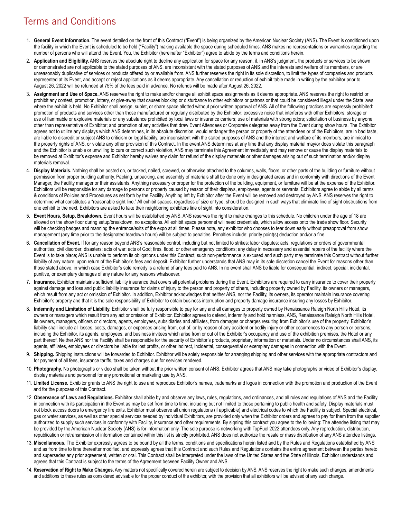#### Terms and Conditions

- 1. **General Event Information.** The event detailed on the front of this Contract ("Event") is being organized by the American Nuclear Society (ANS). The Event is conditioned upon the facility in which the Event is scheduled to be held ("Facility") making available the space during scheduled times. ANS makes no representations or warranties regarding the number of persons who will attend the Event. You, the Exhibitor (hereinafter "Exhibitor") agree to abide by the terms and conditions herein.
- 2. **Application and Eligibility.** ANS reserves the absolute right to decline any application for space for any reason, if, in ANS's judgment, the products or services to be shown or demonstrated are not applicable to the stated purposes of ANS, are inconsistent with the stated purposes of ANS and the interests and welfare of its members, or are unreasonably duplicative of services or products offered by or available from. ANS further reserves the right in its sole discretion, to limit the types of companies and products represented at its Event, and accept or reject applications as it deems appropriate. Any cancellation or reduction of exhibit table made in writing by the exhibitor prior to August 26, 2022 will be refunded at 75% of the fees paid in advance. No refunds will be made after August 26, 2022.
- 3. **Assignment and Use of Space.** ANS reserves the right to make and/or change all exhibit space assignments as it deems appropriate. ANS reserves the right to restrict or prohibit any contest, promotion, lottery, or give-away that causes blocking or disturbance to other exhibitors or patrons or that could be considered illegal under the State laws where the exhibit is held. No Exhibitor shall assign, sublet, or share space allotted without prior written approval of ANS. All of the following practices are expressly prohibited: promotion of products and services other than those manufactured or regularly distributed by the Exhibitor; excessive noise that interferes with other Exhibitors; storage or use of flammable or explosive materials or any substance prohibited by local laws or insurance carriers; use of materials with strong odors; solicitation of business by anyone other than representative of Exhibitor; and promotion of any activities that draw Event Attendees or Corporate delegates away from the Event during show hours. The Exhibitor agrees not to utilize any displays which ANS determines, in its absolute discretion, would endanger the person or property of the attendees or of the Exhibitors, are in bad taste, are liable to discredit or subject ANS to criticism or legal liability, are inconsistent with the stated purposes of ANS and the interest and welfare of its members, are inimical to the property rights of ANS, or violate any other provision of this Contract. In the event ANS determines at any time that any display material may/or does violate this paragraph and the Exhibitor is unable or unwilling to cure or correct such violation, ANS may terminate this Agreement immediately and may remove or cause the display materials to be removed at Exhibitor's expense and Exhibitor hereby waives any claim for refund of the display materials or other damages arising out of such termination and/or display materials removal.
- 4. **Display Materials.** Nothing shall be posted on, or tacked, nailed, screwed, or otherwise attached to the columns, walls, floors, or other parts of the building or furniture without permission from proper building authority. Packing, unpacking, and assembly of materials shall be done only in designated areas and in conformity with directions of the Event Manager, the Facility manager or their assistants. Anything necessary or proper for the protection of the building, equipment, or furniture will be at the expense of the Exhibitor. Exhibitors will be responsible for any damage to persons or property caused by reason of their displays, employees, agents or servants. Exhibitors agree to abide by all terms & conditions of Policies and Procedures as set forth by the Facility. Anything left by Exhibitor after the Event will be removed and destroyed by ANS. ANS reserves the right to determine what constitutes a "reasonable sight line." All exhibit spaces, regardless of size or type, should be designed in such ways that eliminate line of sight obstructions from one exhibit to the next. Exhibitors are asked to take their neighboring exhibitors line of sight into consideration.
- 5. **Event Hours, Setup, Breakdown.** Event hours will be established by ANS. ANS reserves the right to make changes to this schedule. No children under the age of 18 are allowed on the show floor during setup/breakdown, no exceptions. All exhibit space personnel will need credentials, which allow access onto the trade show floor. Security will be checking badges and manning the entrance/exits of the expo at all times. Please note, any exhibitor who chooses to tear down early without preapproval from show management (any time prior to the designated teardown hours) will be subject to penalties. Penalties include: priority point(s) deduction and/or a fine.
- 6. **Cancellation of Event.** If for any reason beyond ANS's reasonable control, including but not limited to strikes; labor disputes; acts, regulations or orders of governmental authorities; civil disorder; disasters; acts of war; acts of God; fires, flood, or other emergency conditions; any delay in necessary and essential repairs of the facility where the Event is to take place; ANS is unable to perform its obligations under this Contract, such non-performance is excused and such party may terminate this Contract without further liability of any nature, upon return of the Exhibitor's fees and deposit. Exhibitor further understands that ANS may in its sole discretion cancel the Event for reasons other than those stated above, in which case Exhibitor's sole remedy is a refund of any fees paid to ANS. In no event shall ANS be liable for consequential, indirect, special, incidental, punitive, or exemplary damages of any nature for any reasons whatsoever.
- 7. **Insurance.** Exhibitor maintains sufficient liability insurance that covers all potential problems during the Event. Exhibitors are required to carry insurance to cover their property against damage and loss and public liability insurance for claims of injury to the person and property of others, including property owned by Facility, its owners or managers, which result from any act or omission of Exhibitor. In addition, Exhibitor acknowledges that neither ANS, nor the Facility, its owners, its operator maintain insurance covering Exhibitor's property and that it is the sole responsibility of Exhibitor to obtain business interruption and property damage insurance insuring any losses by Exhibitor.
- 8. **Indemnity and Limitation of Liability.** Exhibitor shall be fully responsible to pay for any and all damages to property owned by Renaissance Raleigh North Hills Hotel, its owners or managers which result from any act or omission of Exhibitor. Exhibitor agrees to defend, indemnify and hold harmless, ANS, Renaissance Raleigh North Hills Hotel, its owners, managers, officers or directors, agents, employees, subsidiaries and affiliates, from damages or charges resulting from Exhibitor's use of the property. Exhibitor's liability shall include all losses, costs, damages, or expenses arising from, out of, or by reason of any accident or bodily injury or other occurrences to any person or persons, including the Exhibitor, its agents, employees, and business invitees which arise from or out of the Exhibitor's occupancy and use of the exhibition premises, the Hotel or any part thereof. Neither ANS nor the Facility shall be responsible for the security of Exhibitor's products, proprietary information or materials. Under no circumstances shall ANS, its agents, affiliates, employees or directors be liable for lost profits, or other indirect, incidental, consequential or exemplary damages in connection with the Event.
- 9. Shipping. Shipping instructions will be forwarded to Exhibitor. Exhibitor will be solely responsible for arranging shipping and other services with the appropriate contractors and for payment of all fees, insurance tariffs, taxes and charges due for services rendered.
- 10. **Photography.** No photographs or video shall be taken without the prior written consent of ANS. Exhibitor agrees that ANS may take photographs or video of Exhibitor's display, display materials and personnel for any promotional or marketing use by ANS.
- 11. **Limited License.** Exhibitor grants to ANS the right to use and reproduce Exhibitor's names, trademarks and logos in connection with the promotion and production of the Event and for the purposes of this Contract.
- 12. **Observance of Laws and Regulations.** Exhibitor shall abide by and observe any laws, rules, regulations, and ordinances, and all rules and regulations of ANS and the Facility in connection with its participation in the Event as may be set from time to time, including but not limited to those pertaining to public health and safety. Display materials must not block access doors to emergency fire exits. Exhibitor must observe all union regulations (if applicable) and electrical codes to which the Facility is subject. Special electrical, gas or water services, as well as other special services needed by individual Exhibitors, are provided only when the Exhibitor orders and agrees to pay for them from the supplier authorized to supply such services in conformity with Facility, insurance and other requirements. By signing this contract you agree to the following: The attendee listing that may be provided by the American Nuclear Society (ANS) is for information only. The sole purpose is networking with TopFuel 2022 attendees only. Any reproduction, distribution, republication or retransmission of information contained within this list is strictly prohibited. ANS does not authorize the resale or mass distribution of any ANS attendee listings.
- 13. **Miscellaneous.** The Exhibitor expressly agrees to be bound by all the terms, conditions and specifications herein listed and by the Rules and Regulations established by ANS and as from time to time thereafter modified, and expressly agrees that this Contract and such Rules and Regulations contains the entire agreement between the parties hereto and supersedes any prior agreement, written or oral. This Contract shall be interpreted under the laws of the United States and the State of Illinois. Exhibitor understands and agrees that this Contract is subject to the terms of the Agreement between Facility Owner and ANS.
- 14. **Reservation of Right to Make Changes.** Any matters not specifically covered herein are subject to decision by ANS. ANS reserves the right to make such changes, amendments and additions to these rules as considered advisable for the proper conduct of the exhibitor, with the provision that all exhibitors will be advised of any such change.